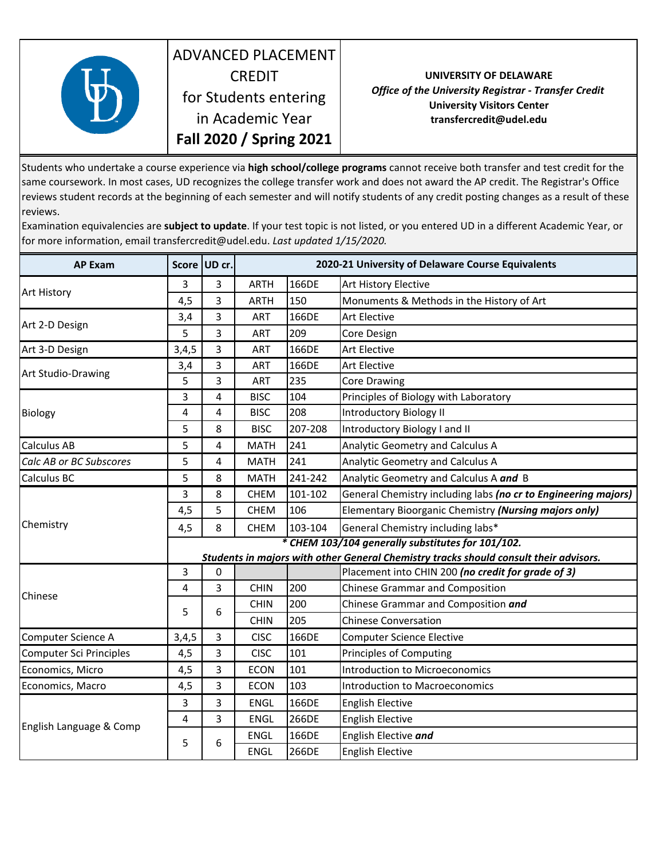

## ADVANCED PLACEMENT **CREDIT** for Students entering in Academic Year **Fall 2020 / Spring 2021**

## **UNIVERSITY OF DELAWARE** *Office of the University Registrar ‐ Transfer Credit* **University Visitors Center transfercredit@udel.edu**

Students who undertake a course experience via **high school/college programs** cannot receive both transfer and test credit for the same coursework. In most cases, UD recognizes the college transfer work and does not award the AP credit. The Registrar's Office reviews student records at the beginning of each semester and will notify students of any credit posting changes as a result of these reviews.

Examination equivalencies are **subject to update**. If your test topic is not listed, or you entered UD in a different Academic Year, or for more information, email transfercredit@udel.edu. *Last updated 1/15/2020.* 

| <b>AP Exam</b>                 |                                                   | Score UD cr. | 2020-21 University of Delaware Course Equivalents |         |                                                                                       |  |
|--------------------------------|---------------------------------------------------|--------------|---------------------------------------------------|---------|---------------------------------------------------------------------------------------|--|
| <b>Art History</b>             | 3                                                 | 3            | <b>ARTH</b>                                       | 166DE   | Art History Elective                                                                  |  |
|                                | 4,5                                               | 3            | <b>ARTH</b>                                       | 150     | Monuments & Methods in the History of Art                                             |  |
| Art 2-D Design                 | 3,4                                               | 3            | <b>ART</b>                                        | 166DE   | <b>Art Elective</b>                                                                   |  |
|                                | 5                                                 | 3            | ART                                               | 209     | Core Design                                                                           |  |
| Art 3-D Design                 | 3,4,5                                             | 3            | ART                                               | 166DE   | <b>Art Elective</b>                                                                   |  |
| Art Studio-Drawing             | 3,4                                               | 3            | ART                                               | 166DE   | <b>Art Elective</b>                                                                   |  |
|                                | 5                                                 | 3            | ART                                               | 235     | <b>Core Drawing</b>                                                                   |  |
| <b>Biology</b>                 | 3                                                 | 4            | <b>BISC</b>                                       | 104     | Principles of Biology with Laboratory                                                 |  |
|                                | 4                                                 | 4            | <b>BISC</b>                                       | 208     | <b>Introductory Biology II</b>                                                        |  |
|                                | 5                                                 | 8            | <b>BISC</b>                                       | 207-208 | Introductory Biology I and II                                                         |  |
| Calculus AB                    | 5                                                 | 4            | <b>MATH</b>                                       | 241     | Analytic Geometry and Calculus A                                                      |  |
| Calc AB or BC Subscores        | 5                                                 | 4            | <b>MATH</b>                                       | 241     | Analytic Geometry and Calculus A                                                      |  |
| Calculus BC                    | 5                                                 | 8            | <b>MATH</b>                                       | 241-242 | Analytic Geometry and Calculus A and B                                                |  |
| Chemistry                      | 3                                                 | 8            | <b>CHEM</b>                                       | 101-102 | General Chemistry including labs (no cr to Engineering majors)                        |  |
|                                | 4,5                                               | 5            | <b>CHEM</b>                                       | 106     | Elementary Bioorganic Chemistry (Nursing majors only)                                 |  |
|                                | 4,5                                               | 8            | <b>CHEM</b>                                       | 103-104 | General Chemistry including labs*                                                     |  |
|                                | * CHEM 103/104 generally substitutes for 101/102. |              |                                                   |         |                                                                                       |  |
|                                |                                                   |              |                                                   |         | Students in majors with other General Chemistry tracks should consult their advisors. |  |
| Chinese                        | 3                                                 | 0            |                                                   |         | Placement into CHIN 200 (no credit for grade of 3)                                    |  |
|                                | 4                                                 | 3            | <b>CHIN</b>                                       | 200     | <b>Chinese Grammar and Composition</b>                                                |  |
|                                | 5                                                 | 6            | <b>CHIN</b>                                       | 200     | Chinese Grammar and Composition and                                                   |  |
|                                |                                                   |              | <b>CHIN</b>                                       | 205     | <b>Chinese Conversation</b>                                                           |  |
| Computer Science A             | 3,4,5                                             | 3            | <b>CISC</b>                                       | 166DE   | <b>Computer Science Elective</b>                                                      |  |
| <b>Computer Sci Principles</b> | 4,5                                               | 3            | <b>CISC</b>                                       | 101     | <b>Principles of Computing</b>                                                        |  |
| Economics, Micro               | 4,5                                               | 3            | <b>ECON</b>                                       | 101     | Introduction to Microeconomics                                                        |  |
| Economics, Macro               | 4,5                                               | 3            | <b>ECON</b>                                       | 103     | <b>Introduction to Macroeconomics</b>                                                 |  |
| English Language & Comp        | 3                                                 | 3            | <b>ENGL</b>                                       | 166DE   | <b>English Elective</b>                                                               |  |
|                                | 4                                                 | 3            | ENGL                                              | 266DE   | <b>English Elective</b>                                                               |  |
|                                | 5                                                 | 6            | <b>ENGL</b>                                       | 166DE   | English Elective and                                                                  |  |
|                                |                                                   |              | <b>ENGL</b>                                       | 266DE   | <b>English Elective</b>                                                               |  |
|                                |                                                   |              |                                                   |         |                                                                                       |  |